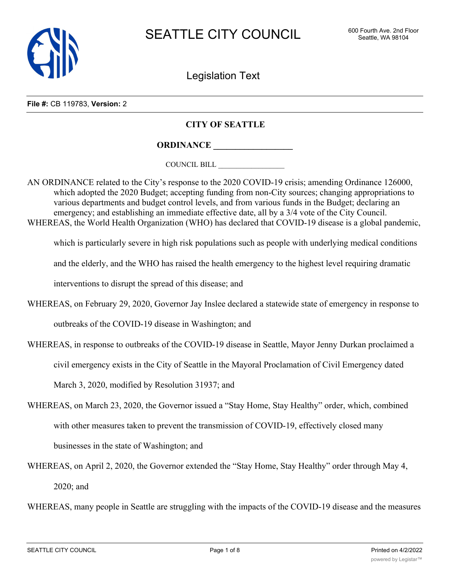

Legislation Text

**File #:** CB 119783, **Version:** 2

## **CITY OF SEATTLE**

**ORDINANCE \_\_\_\_\_\_\_\_\_\_\_\_\_\_\_\_\_\_**

COUNCIL BILL \_\_\_\_\_\_\_\_\_\_\_\_\_\_\_\_\_\_

AN ORDINANCE related to the City's response to the 2020 COVID-19 crisis; amending Ordinance 126000, which adopted the 2020 Budget; accepting funding from non-City sources; changing appropriations to various departments and budget control levels, and from various funds in the Budget; declaring an emergency; and establishing an immediate effective date, all by a  $3/4$  vote of the City Council. WHEREAS, the World Health Organization (WHO) has declared that COVID-19 disease is a global pandemic,

which is particularly severe in high risk populations such as people with underlying medical conditions

and the elderly, and the WHO has raised the health emergency to the highest level requiring dramatic

interventions to disrupt the spread of this disease; and

- WHEREAS, on February 29, 2020, Governor Jay Inslee declared a statewide state of emergency in response to outbreaks of the COVID-19 disease in Washington; and
- WHEREAS, in response to outbreaks of the COVID-19 disease in Seattle, Mayor Jenny Durkan proclaimed a

civil emergency exists in the City of Seattle in the Mayoral Proclamation of Civil Emergency dated

March 3, 2020, modified by Resolution 31937; and

- WHEREAS, on March 23, 2020, the Governor issued a "Stay Home, Stay Healthy" order, which, combined with other measures taken to prevent the transmission of COVID-19, effectively closed many businesses in the state of Washington; and
- WHEREAS, on April 2, 2020, the Governor extended the "Stay Home, Stay Healthy" order through May 4, 2020; and

WHEREAS, many people in Seattle are struggling with the impacts of the COVID-19 disease and the measures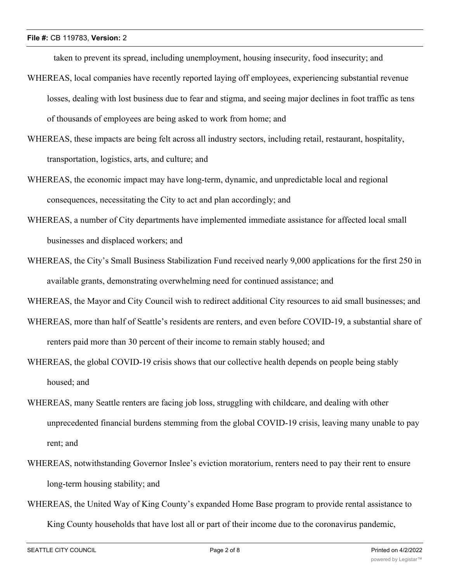taken to prevent its spread, including unemployment, housing insecurity, food insecurity; and

- WHEREAS, local companies have recently reported laying off employees, experiencing substantial revenue losses, dealing with lost business due to fear and stigma, and seeing major declines in foot traffic as tens of thousands of employees are being asked to work from home; and
- WHEREAS, these impacts are being felt across all industry sectors, including retail, restaurant, hospitality, transportation, logistics, arts, and culture; and
- WHEREAS, the economic impact may have long-term, dynamic, and unpredictable local and regional consequences, necessitating the City to act and plan accordingly; and
- WHEREAS, a number of City departments have implemented immediate assistance for affected local small businesses and displaced workers; and
- WHEREAS, the City's Small Business Stabilization Fund received nearly 9,000 applications for the first 250 in available grants, demonstrating overwhelming need for continued assistance; and

WHEREAS, the Mayor and City Council wish to redirect additional City resources to aid small businesses; and

- WHEREAS, more than half of Seattle's residents are renters, and even before COVID-19, a substantial share of renters paid more than 30 percent of their income to remain stably housed; and
- WHEREAS, the global COVID-19 crisis shows that our collective health depends on people being stably housed; and
- WHEREAS, many Seattle renters are facing job loss, struggling with childcare, and dealing with other unprecedented financial burdens stemming from the global COVID-19 crisis, leaving many unable to pay rent; and
- WHEREAS, notwithstanding Governor Inslee's eviction moratorium, renters need to pay their rent to ensure long-term housing stability; and
- WHEREAS, the United Way of King County's expanded Home Base program to provide rental assistance to King County households that have lost all or part of their income due to the coronavirus pandemic,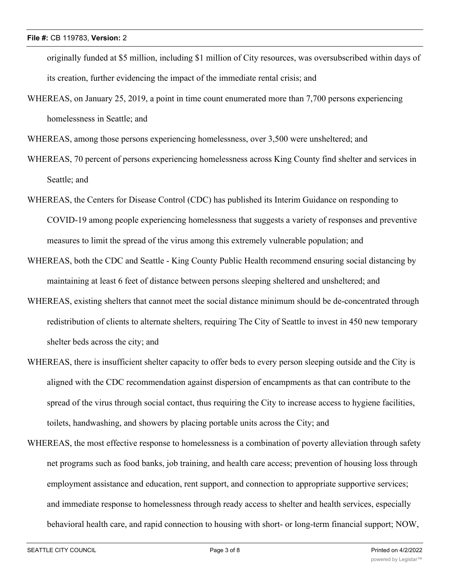originally funded at \$5 million, including \$1 million of City resources, was oversubscribed within days of its creation, further evidencing the impact of the immediate rental crisis; and

WHEREAS, on January 25, 2019, a point in time count enumerated more than 7,700 persons experiencing homelessness in Seattle; and

WHEREAS, among those persons experiencing homelessness, over 3,500 were unsheltered; and

- WHEREAS, 70 percent of persons experiencing homelessness across King County find shelter and services in Seattle; and
- WHEREAS, the Centers for Disease Control (CDC) has published its Interim Guidance on responding to COVID-19 among people experiencing homelessness that suggests a variety of responses and preventive measures to limit the spread of the virus among this extremely vulnerable population; and
- WHEREAS, both the CDC and Seattle King County Public Health recommend ensuring social distancing by maintaining at least 6 feet of distance between persons sleeping sheltered and unsheltered; and
- WHEREAS, existing shelters that cannot meet the social distance minimum should be de-concentrated through redistribution of clients to alternate shelters, requiring The City of Seattle to invest in 450 new temporary shelter beds across the city; and
- WHEREAS, there is insufficient shelter capacity to offer beds to every person sleeping outside and the City is aligned with the CDC recommendation against dispersion of encampments as that can contribute to the spread of the virus through social contact, thus requiring the City to increase access to hygiene facilities, toilets, handwashing, and showers by placing portable units across the City; and
- WHEREAS, the most effective response to homelessness is a combination of poverty alleviation through safety net programs such as food banks, job training, and health care access; prevention of housing loss through employment assistance and education, rent support, and connection to appropriate supportive services; and immediate response to homelessness through ready access to shelter and health services, especially behavioral health care, and rapid connection to housing with short- or long-term financial support; NOW,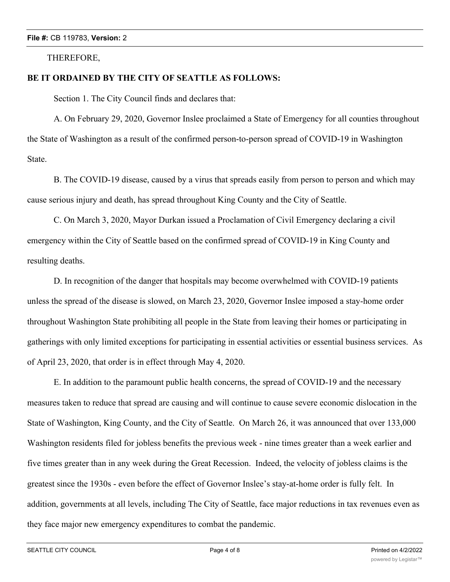#### THEREFORE,

### **BE IT ORDAINED BY THE CITY OF SEATTLE AS FOLLOWS:**

Section 1. The City Council finds and declares that:

A. On February 29, 2020, Governor Inslee proclaimed a State of Emergency for all counties throughout the State of Washington as a result of the confirmed person-to-person spread of COVID-19 in Washington State.

B. The COVID-19 disease, caused by a virus that spreads easily from person to person and which may cause serious injury and death, has spread throughout King County and the City of Seattle.

C. On March 3, 2020, Mayor Durkan issued a Proclamation of Civil Emergency declaring a civil emergency within the City of Seattle based on the confirmed spread of COVID-19 in King County and resulting deaths.

D. In recognition of the danger that hospitals may become overwhelmed with COVID-19 patients unless the spread of the disease is slowed, on March 23, 2020, Governor Inslee imposed a stay-home order throughout Washington State prohibiting all people in the State from leaving their homes or participating in gatherings with only limited exceptions for participating in essential activities or essential business services. As of April 23, 2020, that order is in effect through May 4, 2020.

E. In addition to the paramount public health concerns, the spread of COVID-19 and the necessary measures taken to reduce that spread are causing and will continue to cause severe economic dislocation in the State of Washington, King County, and the City of Seattle. On March 26, it was announced that over 133,000 Washington residents filed for jobless benefits the previous week - nine times greater than a week earlier and five times greater than in any week during the Great Recession. Indeed, the velocity of jobless claims is the greatest since the 1930s - even before the effect of Governor Inslee's stay-at-home order is fully felt. In addition, governments at all levels, including The City of Seattle, face major reductions in tax revenues even as they face major new emergency expenditures to combat the pandemic.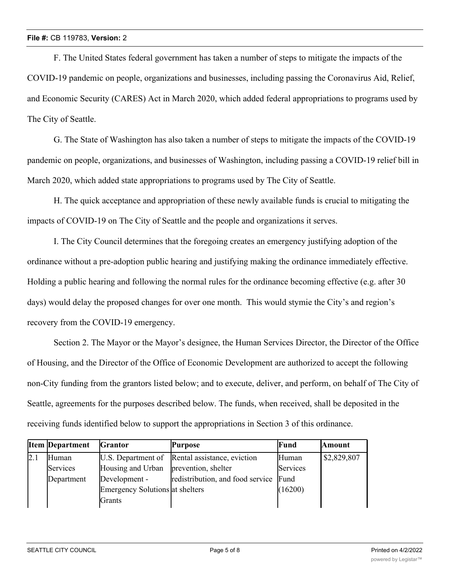F. The United States federal government has taken a number of steps to mitigate the impacts of the COVID-19 pandemic on people, organizations and businesses, including passing the Coronavirus Aid, Relief, and Economic Security (CARES) Act in March 2020, which added federal appropriations to programs used by The City of Seattle.

G. The State of Washington has also taken a number of steps to mitigate the impacts of the COVID-19 pandemic on people, organizations, and businesses of Washington, including passing a COVID-19 relief bill in March 2020, which added state appropriations to programs used by The City of Seattle.

H. The quick acceptance and appropriation of these newly available funds is crucial to mitigating the impacts of COVID-19 on The City of Seattle and the people and organizations it serves.

I. The City Council determines that the foregoing creates an emergency justifying adoption of the ordinance without a pre-adoption public hearing and justifying making the ordinance immediately effective. Holding a public hearing and following the normal rules for the ordinance becoming effective (e.g. after 30 days) would delay the proposed changes for over one month. This would stymie the City's and region's recovery from the COVID-19 emergency.

Section 2. The Mayor or the Mayor's designee, the Human Services Director, the Director of the Office of Housing, and the Director of the Office of Economic Development are authorized to accept the following non-City funding from the grantors listed below; and to execute, deliver, and perform, on behalf of The City of Seattle, agreements for the purposes described below. The funds, when received, shall be deposited in the receiving funds identified below to support the appropriations in Section 3 of this ordinance.

|     | <b>Item Department</b> | <b>Grantor</b>                  | <b>Purpose</b>                                 | Fund     | <b>Amount</b> |
|-----|------------------------|---------------------------------|------------------------------------------------|----------|---------------|
| 2.1 | Human                  |                                 | U.S. Department of Rental assistance, eviction | Human    | \$2,829,807   |
|     | Services               | Housing and Urban               | prevention, shelter                            | Services |               |
|     | Department             | Development -                   | redistribution, and food service Fund          |          |               |
|     |                        | Emergency Solutions at shelters |                                                | (16200)  |               |
|     |                        | Grants                          |                                                |          |               |

Housing

(1620)<br>(1620)<br>(1620)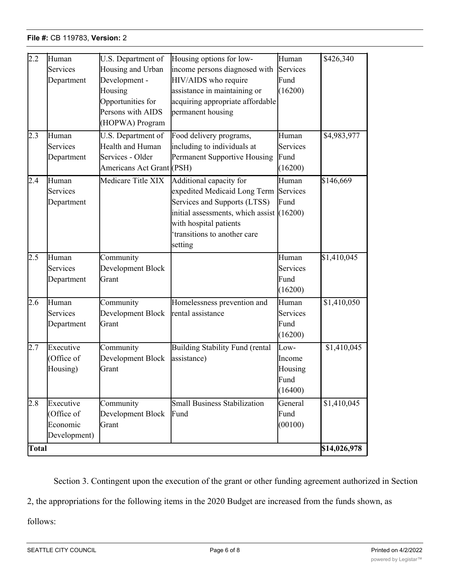| 2.2              | Human<br>Services<br>Department                    | U.S. Department of<br>Housing and Urban<br>Development -<br>Housing<br>Opportunities for<br>Persons with AIDS<br>(HOPWA) Program | Housing options for low-<br>income persons diagnosed with<br>HIV/AIDS who require<br>assistance in maintaining or<br>acquiring appropriate affordable<br>permanent housing                                          | Human<br>Services<br>Fund<br>(16200)         | \$426,340                   |
|------------------|----------------------------------------------------|----------------------------------------------------------------------------------------------------------------------------------|---------------------------------------------------------------------------------------------------------------------------------------------------------------------------------------------------------------------|----------------------------------------------|-----------------------------|
| $2.\overline{3}$ | Human<br>Services<br>Department                    | U.S. Department of<br>Health and Human<br>Services - Older<br>Americans Act Grant (PSH)                                          | Food delivery programs,<br>including to individuals at<br>Permanent Supportive Housing                                                                                                                              | Human<br>Services<br>Fund<br>(16200)         | \$4,983,977                 |
| 2.4              | Human<br>Services<br>Department                    | Medicare Title XIX                                                                                                               | Additional capacity for<br>expedited Medicaid Long Term Services<br>Services and Supports (LTSS)<br>initial assessments, which assist $(16200)$<br>with hospital patients<br>transitions to another care<br>setting | Human<br>Fund                                | \$146,669                   |
| 2.5              | Human<br>Services<br>Department                    | Community<br>Development Block<br>Grant                                                                                          |                                                                                                                                                                                                                     | Human<br>Services<br>Fund<br>(16200)         | \$1,410,045                 |
| 2.6              | Human<br>Services<br>Department                    | Community<br>Development Block<br>Grant                                                                                          | Homelessness prevention and<br>rental assistance                                                                                                                                                                    | Human<br>Services<br>Fund<br>(16200)         | \$1,410,050                 |
| 2.7              | Executive<br>Office of<br>Housing)                 | Community<br>Development Block<br>Grant                                                                                          | Building Stability Fund (rental<br>assistance)                                                                                                                                                                      | Low-<br>Income<br>Housing<br>Fund<br>(16400) | \$1,410,045                 |
| 2.8<br>Total     | Executive<br>Office of<br>Economic<br>Development) | Community<br>Development Block<br>Grant                                                                                          | <b>Small Business Stabilization</b><br>Fund                                                                                                                                                                         | General<br>Fund<br>(00100)                   | \$1,410,045<br>\$14,026,978 |
|                  |                                                    |                                                                                                                                  |                                                                                                                                                                                                                     |                                              |                             |

Section 3. Contingent upon the execution of the grant or other funding agreement authorized in Section

2, the appropriations for the following items in the 2020 Budget are increased from the funds shown, as

follows:

**Amount**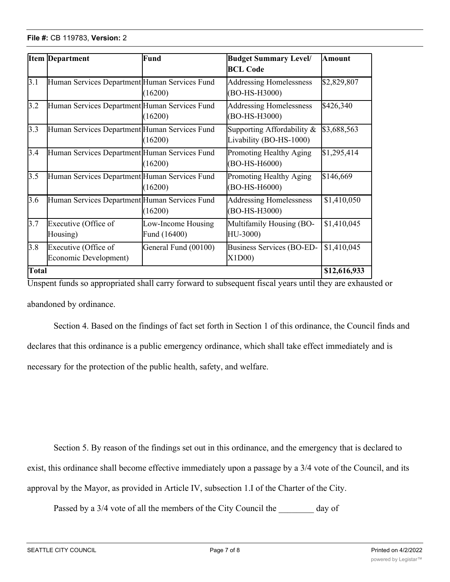|              | <b>Item Department</b>                        | Fund                               | <b>Budget Summary Level/</b><br><b>BCL Code</b>       | <b>Amount</b> |
|--------------|-----------------------------------------------|------------------------------------|-------------------------------------------------------|---------------|
| 3.1          | Human Services Department Human Services Fund | (16200)                            | <b>Addressing Homelessness</b><br>(BO-HS-H3000)       | \$2,829,807   |
| 3.2          | Human Services Department Human Services Fund | (16200)                            | <b>Addressing Homelessness</b><br>(BO-HS-H3000)       | \$426,340     |
| 3.3          | Human Services Department Human Services Fund | (16200)                            | Supporting Affordability &<br>Livability (BO-HS-1000) | \$3,688,563   |
| 3.4          | Human Services Department Human Services Fund | (16200)                            | Promoting Healthy Aging<br>(BO-HS-H6000)              | \$1,295,414   |
| 3.5          | Human Services Department Human Services Fund | (16200)                            | Promoting Healthy Aging<br>(BO-HS-H6000)              | \$146,669     |
| 3.6          | Human Services Department Human Services Fund | (16200)                            | Addressing Homelessness<br>(BO-HS-H3000)              | \$1,410,050   |
| 3.7          | Executive (Office of<br>Housing)              | Low-Income Housing<br>Fund (16400) | Multifamily Housing (BO-<br>HU-3000)                  | \$1,410,045   |
| 3.8          | Executive (Office of<br>Economic Development) | General Fund (00100)               | Business Services (BO-ED-<br>X1D00                    | \$1,410,045   |
| <b>Total</b> |                                               |                                    |                                                       | \$12,616,933  |

Unspent funds so appropriated shall carry forward to subsequent fiscal years until they are exhausted or abandoned by ordinance.

Section 4. Based on the findings of fact set forth in Section 1 of this ordinance, the Council finds and declares that this ordinance is a public emergency ordinance, which shall take effect immediately and is necessary for the protection of the public health, safety, and welfare.

Section 5. By reason of the findings set out in this ordinance, and the emergency that is declared to exist, this ordinance shall become effective immediately upon a passage by a 3/4 vote of the Council, and its approval by the Mayor, as provided in Article IV, subsection 1.I of the Charter of the City.

Passed by a 3/4 vote of all the members of the City Council the \_\_\_\_\_\_\_\_ day of